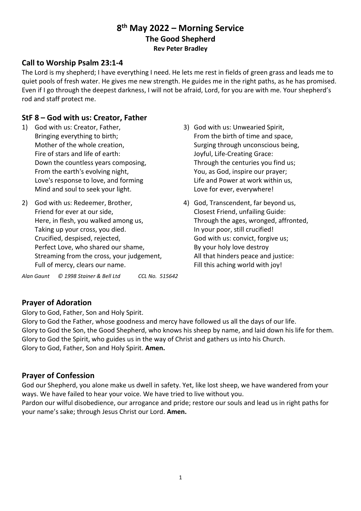# **8 th May 2022 – Morning Service The Good Shepherd Rev Peter Bradley**

#### **Call to Worship Psalm 23:1-4**

The Lord is my shepherd; I have everything I need. He lets me rest in fields of green grass and leads me to quiet pools of fresh water. He gives me new strength. He guides me in the right paths, as he has promised. Even if I go through the deepest darkness, I will not be afraid, Lord, for you are with me. Your shepherd's rod and staff protect me.

### **StF 8 – God with us: Creator, Father**

- 1) God with us: Creator, Father, Bringing everything to birth; Mother of the whole creation, Fire of stars and life of earth: Down the countless years composing, From the earth's evolving night, Love's response to love, and forming Mind and soul to seek your light.
- 2) God with us: Redeemer, Brother, Friend for ever at our side, Here, in flesh, you walked among us, Taking up your cross, you died. Crucified, despised, rejected, Perfect Love, who shared our shame, Streaming from the cross, your judgement, Full of mercy, clears our name.

*Alan Gaunt © 1998 Stainer & Bell Ltd CCL No. 515642*

- 3) God with us: Unwearied Spirit, From the birth of time and space, Surging through unconscious being, Joyful, Life-Creating Grace: Through the centuries you find us; You, as God, inspire our prayer; Life and Power at work within us, Love for ever, everywhere!
- 4) God, Transcendent, far beyond us, Closest Friend, unfailing Guide: Through the ages, wronged, affronted, In your poor, still crucified! God with us: convict, forgive us; By your holy love destroy All that hinders peace and justice: Fill this aching world with joy!

### **Prayer of Adoration**

Glory to God, Father, Son and Holy Spirit.

Glory to God the Father, whose goodness and mercy have followed us all the days of our life. Glory to God the Son, the Good Shepherd, who knows his sheep by name, and laid down his life for them. Glory to God the Spirit, who guides us in the way of Christ and gathers us into his Church. Glory to God, Father, Son and Holy Spirit. **Amen.**

#### **Prayer of Confession**

God our Shepherd, you alone make us dwell in safety. Yet, like lost sheep, we have wandered from your ways. We have failed to hear your voice. We have tried to live without you.

Pardon our wilful disobedience, our arrogance and pride; restore our souls and lead us in right paths for your name's sake; through Jesus Christ our Lord. **Amen.**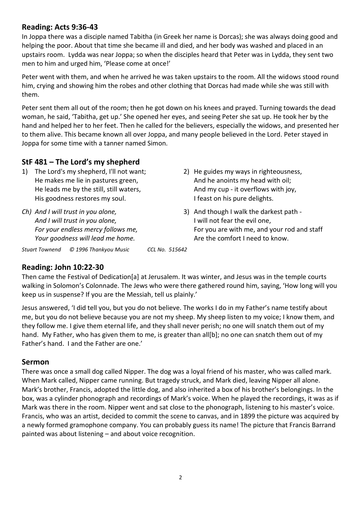#### **Reading: Acts 9:36-43**

In Joppa there was a disciple named Tabitha (in Greek her name is Dorcas); she was always doing good and helping the poor. About that time she became ill and died, and her body was washed and placed in an upstairs room. Lydda was near Joppa; so when the disciples heard that Peter was in Lydda, they sent two men to him and urged him, 'Please come at once!'

Peter went with them, and when he arrived he was taken upstairs to the room. All the widows stood round him, crying and showing him the robes and other clothing that Dorcas had made while she was still with them.

Peter sent them all out of the room; then he got down on his knees and prayed. Turning towards the dead woman, he said, 'Tabitha, get up.' She opened her eyes, and seeing Peter she sat up. He took her by the hand and helped her to her feet. Then he called for the believers, especially the widows, and presented her to them alive. This became known all over Joppa, and many people believed in the Lord. Peter stayed in Joppa for some time with a tanner named Simon.

### **StF 481 – The Lord's my shepherd**

- 1) The Lord's my shepherd, I'll not want; He makes me lie in pastures green, He leads me by the still, still waters, His goodness restores my soul.
- *Ch) And I will trust in you alone, And I will trust in you alone, For your endless mercy follows me, Your goodness will lead me home.*

*Stuart Townend © 1996 Thankyou Music CCL No. 515642*

- 2) He guides my ways in righteousness, And he anoints my head with oil; And my cup - it overflows with joy, I feast on his pure delights.
- 3) And though I walk the darkest path I will not fear the evil one, For you are with me, and your rod and staff Are the comfort I need to know.

### **Reading: John 10:22-30**

Then came the Festival of Dedication[a] at Jerusalem. It was winter, and Jesus was in the temple courts walking in Solomon's Colonnade. The Jews who were there gathered round him, saying, 'How long will you keep us in suspense? If you are the Messiah, tell us plainly.'

Jesus answered, 'I did tell you, but you do not believe. The works I do in my Father's name testify about me, but you do not believe because you are not my sheep. My sheep listen to my voice; I know them, and they follow me. I give them eternal life, and they shall never perish; no one will snatch them out of my hand. My Father, who has given them to me, is greater than all[b]; no one can snatch them out of my Father's hand. I and the Father are one.'

#### **Sermon**

There was once a small dog called Nipper. The dog was a loyal friend of his master, who was called mark. When Mark called, Nipper came running. But tragedy struck, and Mark died, leaving Nipper all alone. Mark's brother, Francis, adopted the little dog, and also inherited a box of his brother's belongings. In the box, was a cylinder phonograph and recordings of Mark's voice. When he played the recordings, it was as if Mark was there in the room. Nipper went and sat close to the phonograph, listening to his master's voice. Francis, who was an artist, decided to commit the scene to canvas, and in 1899 the picture was acquired by a newly formed gramophone company. You can probably guess its name! The picture that Francis Barrand painted was about listening – and about voice recognition.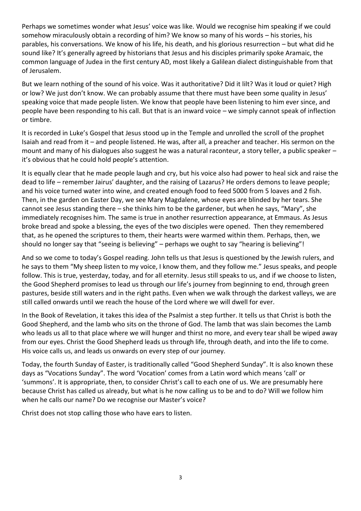Perhaps we sometimes wonder what Jesus' voice was like. Would we recognise him speaking if we could somehow miraculously obtain a recording of him? We know so many of his words – his stories, his parables, his conversations. We know of his life, his death, and his glorious resurrection – but what did he sound like? It's generally agreed by historians that Jesus and his disciples primarily spoke Aramaic, the common language of Judea in the first century AD, most likely a Galilean dialect distinguishable from that of Jerusalem.

But we learn nothing of the sound of his voice. Was it authoritative? Did it lilt? Was it loud or quiet? High or low? We just don't know. We can probably assume that there must have been some quality in Jesus' speaking voice that made people listen. We know that people have been listening to him ever since, and people have been responding to his call. But that is an inward voice – we simply cannot speak of inflection or timbre.

It is recorded in Luke's Gospel that Jesus stood up in the Temple and unrolled the scroll of the prophet Isaiah and read from it – and people listened. He was, after all, a preacher and teacher. His sermon on the mount and many of his dialogues also suggest he was a natural raconteur, a story teller, a public speaker – it's obvious that he could hold people's attention.

It is equally clear that he made people laugh and cry, but his voice also had power to heal sick and raise the dead to life – remember Jairus' daughter, and the raising of Lazarus? He orders demons to leave people; and his voice turned water into wine, and created enough food to feed 5000 from 5 loaves and 2 fish. Then, in the garden on Easter Day, we see Mary Magdalene, whose eyes are blinded by her tears. She cannot see Jesus standing there – she thinks him to be the gardener, but when he says, "Mary", she immediately recognises him. The same is true in another resurrection appearance, at Emmaus. As Jesus broke bread and spoke a blessing, the eyes of the two disciples were opened. Then they remembered that, as he opened the scriptures to them, their hearts were warmed within them. Perhaps, then, we should no longer say that "seeing is believing" – perhaps we ought to say "hearing is believing"!

And so we come to today's Gospel reading. John tells us that Jesus is questioned by the Jewish rulers, and he says to them "My sheep listen to my voice, I know them, and they follow me." Jesus speaks, and people follow. This is true, yesterday, today, and for all eternity. Jesus still speaks to us, and if we choose to listen, the Good Shepherd promises to lead us through our life's journey from beginning to end, through green pastures, beside still waters and in the right paths. Even when we walk through the darkest valleys, we are still called onwards until we reach the house of the Lord where we will dwell for ever.

In the Book of Revelation, it takes this idea of the Psalmist a step further. It tells us that Christ is both the Good Shepherd, and the lamb who sits on the throne of God. The lamb that was slain becomes the Lamb who leads us all to that place where we will hunger and thirst no more, and every tear shall be wiped away from our eyes. Christ the Good Shepherd leads us through life, through death, and into the life to come. His voice calls us, and leads us onwards on every step of our journey.

Today, the fourth Sunday of Easter, is traditionally called "Good Shepherd Sunday". It is also known these days as "Vocations Sunday". The word 'Vocation' comes from a Latin word which means 'call' or 'summons'. It is appropriate, then, to consider Christ's call to each one of us. We are presumably here because Christ has called us already, but what is he now calling us to be and to do? Will we follow him when he calls our name? Do we recognise our Master's voice?

Christ does not stop calling those who have ears to listen.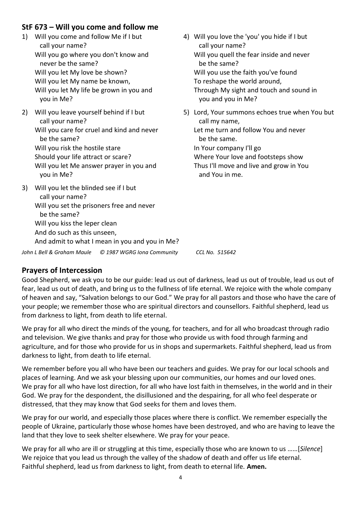### **StF 673 – Will you come and follow me**

1) Will you come and follow Me if I but call your name? Will you go where you don't know and never be the same? Will you let My love be shown? Will you let My name be known, Will you let My life be grown in you and you in Me? 2) Will you leave yourself behind if I but call your name? Will you care for cruel and kind and never be the same? Will you risk the hostile stare

Should your life attract or scare? Will you let Me answer prayer in you and you in Me?

3) Will you let the blinded see if I but call your name? Will you set the prisoners free and never be the same? Will you kiss the leper clean And do such as this unseen, And admit to what I mean in you and you in Me?

- 4) Will you love the 'you' you hide if I but call your name? Will you quell the fear inside and never be the same? Will you use the faith you've found To reshape the world around, Through My sight and touch and sound in you and you in Me?
- 5) Lord, Your summons echoes true when You but call my name, Let me turn and follow You and never

be the same.

In Your company I'll go

Where Your love and footsteps show Thus I'll move and live and grow in You

and You in me.

*John L Bell & Graham Maule © 1987 WGRG Iona Community CCL No. 515642*

#### **Prayers of Intercession**

Good Shepherd, we ask you to be our guide: lead us out of darkness, lead us out of trouble, lead us out of fear, lead us out of death, and bring us to the fullness of life eternal. We rejoice with the whole company of heaven and say, "Salvation belongs to our God." We pray for all pastors and those who have the care of your people; we remember those who are spiritual directors and counsellors. Faithful shepherd, lead us from darkness to light, from death to life eternal.

We pray for all who direct the minds of the young, for teachers, and for all who broadcast through radio and television. We give thanks and pray for those who provide us with food through farming and agriculture, and for those who provide for us in shops and supermarkets. Faithful shepherd, lead us from darkness to light, from death to life eternal.

We remember before you all who have been our teachers and guides. We pray for our local schools and places of learning. And we ask your blessing upon our communities, our homes and our loved ones. We pray for all who have lost direction, for all who have lost faith in themselves, in the world and in their God. We pray for the despondent, the disillusioned and the despairing, for all who feel desperate or distressed, that they may know that God seeks for them and loves them.

We pray for our world, and especially those places where there is conflict. We remember especially the people of Ukraine, particularly those whose homes have been destroyed, and who are having to leave the land that they love to seek shelter elsewhere. We pray for your peace.

We pray for all who are ill or struggling at this time, especially those who are known to us ……[*Silence*] We rejoice that you lead us through the valley of the shadow of death and offer us life eternal. Faithful shepherd, lead us from darkness to light, from death to eternal life. **Amen.**